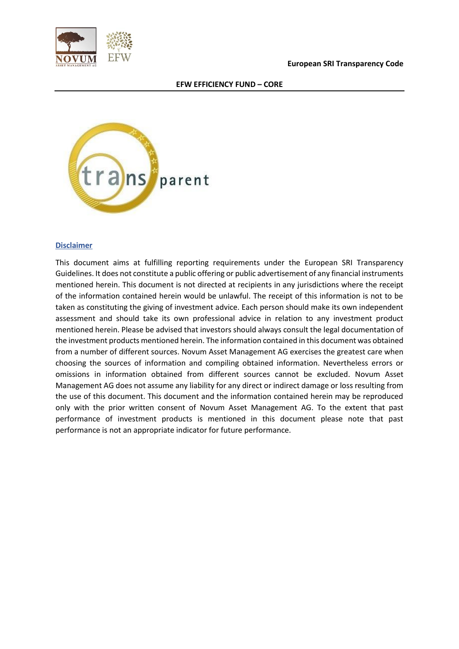



## **Disclaimer**

This document aims at fulfilling reporting requirements under the European SRI Transparency Guidelines. It does not constitute a public offering or public advertisement of any financial instruments mentioned herein. This document is not directed at recipients in any jurisdictions where the receipt of the information contained herein would be unlawful. The receipt of this information is not to be taken as constituting the giving of investment advice. Each person should make its own independent assessment and should take its own professional advice in relation to any investment product mentioned herein. Please be advised that investors should always consult the legal documentation of the investment products mentioned herein. The information contained in this document was obtained from a number of different sources. Novum Asset Management AG exercises the greatest care when choosing the sources of information and compiling obtained information. Nevertheless errors or omissions in information obtained from different sources cannot be excluded. Novum Asset Management AG does not assume any liability for any direct or indirect damage or loss resulting from the use of this document. This document and the information contained herein may be reproduced only with the prior written consent of Novum Asset Management AG. To the extent that past performance of investment products is mentioned in this document please note that past performance is not an appropriate indicator for future performance.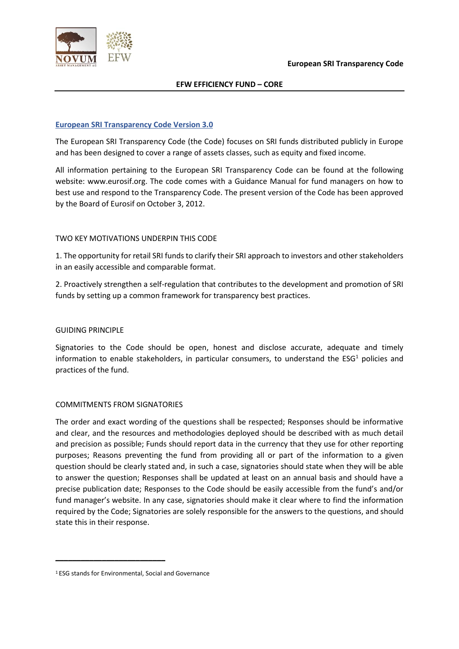

#### **European SRI Transparency Code Version 3.0**

The European SRI Transparency Code (the Code) focuses on SRI funds distributed publicly in Europe and has been designed to cover a range of assets classes, such as equity and fixed income.

All information pertaining to the European SRI Transparency Code can be found at the following website: www.eurosif.org. The code comes with a Guidance Manual for fund managers on how to best use and respond to the Transparency Code. The present version of the Code has been approved by the Board of Eurosif on October 3, 2012.

## TWO KEY MOTIVATIONS UNDERPIN THIS CODE

1. The opportunity for retail SRI funds to clarify their SRI approach to investors and other stakeholders in an easily accessible and comparable format.

2. Proactively strengthen a self-regulation that contributes to the development and promotion of SRI funds by setting up a common framework for transparency best practices.

#### GUIDING PRINCIPLE

Signatories to the Code should be open, honest and disclose accurate, adequate and timely information to enable stakeholders, in particular consumers, to understand the  $ESG<sup>1</sup>$  policies and practices of the fund.

#### COMMITMENTS FROM SIGNATORIES

The order and exact wording of the questions shall be respected; Responses should be informative and clear, and the resources and methodologies deployed should be described with as much detail and precision as possible; Funds should report data in the currency that they use for other reporting purposes; Reasons preventing the fund from providing all or part of the information to a given question should be clearly stated and, in such a case, signatories should state when they will be able to answer the question; Responses shall be updated at least on an annual basis and should have a precise publication date; Responses to the Code should be easily accessible from the fund's and/or fund manager's website. In any case, signatories should make it clear where to find the information required by the Code; Signatories are solely responsible for the answers to the questions, and should state this in their response.

**\_\_\_\_\_\_\_\_\_\_\_\_\_\_\_\_\_\_\_\_\_\_\_\_\_\_**

<sup>1</sup> ESG stands for Environmental, Social and Governance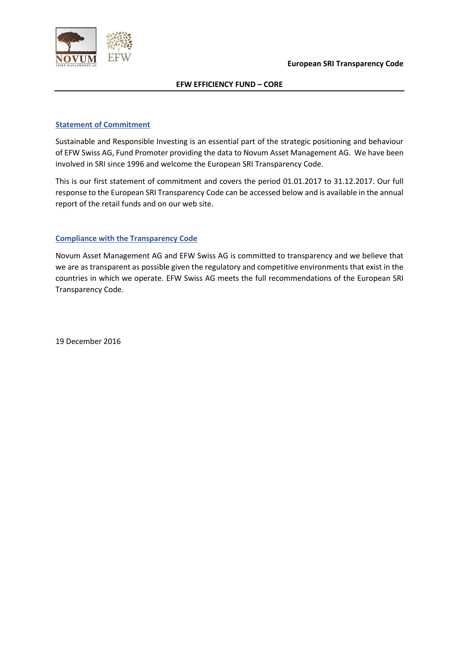

#### **Statement of Commitment**

Sustainable and Responsible Investing is an essential part of the strategic positioning and behaviour of EFW Swiss AG, Fund Promoter providing the data to Novum Asset Management AG. We have been involved in SRI since 1996 and welcome the European SRI Transparency Code.

This is our first statement of commitment and covers the period 01.01.2017 to 31.12.2017. Our full response to the European SRI Transparency Code can be accessed below and is available in the annual report of the retail funds and on our web site.

## **Compliance with the Transparency Code**

Novum Asset Management AG and EFW Swiss AG is committed to transparency and we believe that we are as transparent as possible given the regulatory and competitive environments that exist in the countries in which we operate. EFW Swiss AG meets the full recommendations of the European SRI Transparency Code.

19 December 2016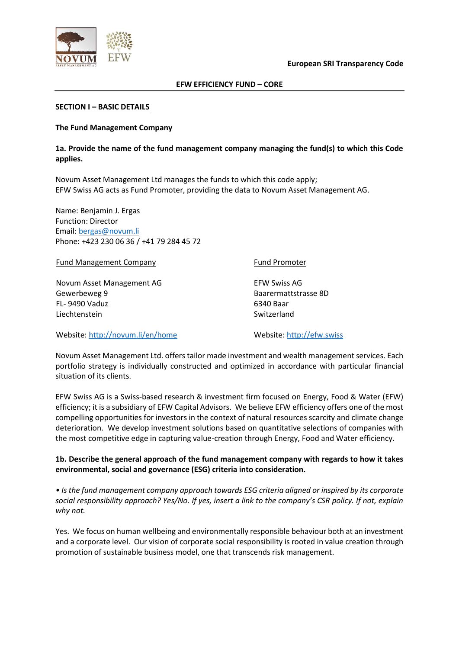



#### **SECTION I – BASIC DETAILS**

#### **The Fund Management Company**

#### **1a. Provide the name of the fund management company managing the fund(s) to which this Code applies.**

Novum Asset Management Ltd manages the funds to which this code apply; EFW Swiss AG acts as Fund Promoter, providing the data to Novum Asset Management AG.

Name: Benjamin J. Ergas Function: Director Email: bergas@novum.li Phone: +423 230 06 36 / +41 79 284 45 72

Fund Management Company

Novum Asset Management AG Gewerbeweg 9 FL- 9490 Vaduz Liechtenstein

Fund Promoter

EFW Swiss AG Baarermattstrasse 8D 6340 Baar Switzerland

Website: http://novum.li/en/home

Website: http://efw.swiss

Novum Asset Management Ltd. offers tailor made investment and wealth management services. Each portfolio strategy is individually constructed and optimized in accordance with particular financial situation of its clients.

EFW Swiss AG is a Swiss-based research & investment firm focused on Energy, Food & Water (EFW) efficiency; it is a subsidiary of EFW Capital Advisors. We believe EFW efficiency offers one of the most compelling opportunities for investors in the context of natural resources scarcity and climate change deterioration. We develop investment solutions based on quantitative selections of companies with the most competitive edge in capturing value-creation through Energy, Food and Water efficiency.

## **1b. Describe the general approach of the fund management company with regards to how it takes environmental, social and governance (ESG) criteria into consideration.**

*• Is the fund management company approach towards ESG criteria aligned or inspired by its corporate social responsibility approach? Yes/No. If yes, insert a link to the company's CSR policy. If not, explain why not.*

Yes. We focus on human wellbeing and environmentally responsible behaviour both at an investment and a corporate level. Our vision of corporate social responsibility is rooted in value creation through promotion of sustainable business model, one that transcends risk management.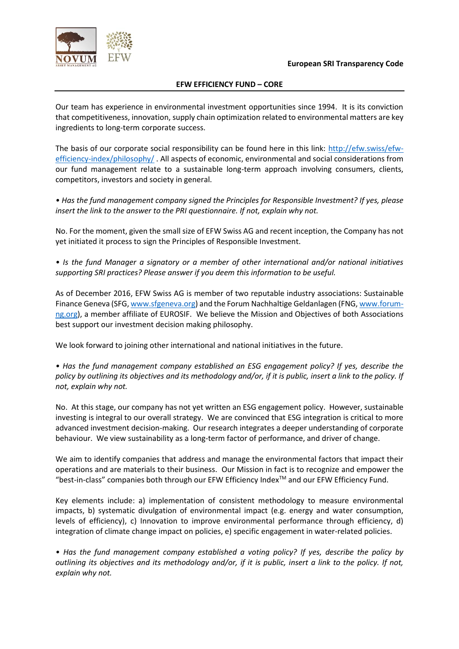

Our team has experience in environmental investment opportunities since 1994. It is its conviction that competitiveness, innovation, supply chain optimization related to environmental matters are key ingredients to long-term corporate success.

The basis of our corporate social responsibility can be found here in this link: http://efw.swiss/efwefficiency-index/philosophy/ . All aspects of economic, environmental and social considerations from our fund management relate to a sustainable long-term approach involving consumers, clients, competitors, investors and society in general.

*• Has the fund management company signed the Principles for Responsible Investment? If yes, please insert the link to the answer to the PRI questionnaire. If not, explain why not.* 

No. For the moment, given the small size of EFW Swiss AG and recent inception, the Company has not yet initiated it process to sign the Principles of Responsible Investment.

*• Is the fund Manager a signatory or a member of other international and/or national initiatives supporting SRI practices? Please answer if you deem this information to be useful.* 

As of December 2016, EFW Swiss AG is member of two reputable industry associations: Sustainable Finance Geneva (SFG, www.sfgeneva.org) and the Forum Nachhaltige Geldanlagen (FNG, www.forumng.org), a member affiliate of EUROSIF. We believe the Mission and Objectives of both Associations best support our investment decision making philosophy.

We look forward to joining other international and national initiatives in the future.

*• Has the fund management company established an ESG engagement policy? If yes, describe the*  policy by outlining its objectives and its methodology and/or, if it is public, insert a link to the policy. If *not, explain why not.* 

No. At this stage, our company has not yet written an ESG engagement policy. However, sustainable investing is integral to our overall strategy. We are convinced that ESG integration is critical to more advanced investment decision-making. Our research integrates a deeper understanding of corporate behaviour. We view sustainability as a long-term factor of performance, and driver of change.

We aim to identify companies that address and manage the environmental factors that impact their operations and are materials to their business. Our Mission in fact is to recognize and empower the "best-in-class" companies both through our EFW Efficiency IndexTM and our EFW Efficiency Fund.

Key elements include: a) implementation of consistent methodology to measure environmental impacts, b) systematic divulgation of environmental impact (e.g. energy and water consumption, levels of efficiency), c) Innovation to improve environmental performance through efficiency, d) integration of climate change impact on policies, e) specific engagement in water-related policies.

*• Has the fund management company established a voting policy? If yes, describe the policy by outlining its objectives and its methodology and/or, if it is public, insert a link to the policy. If not, explain why not.*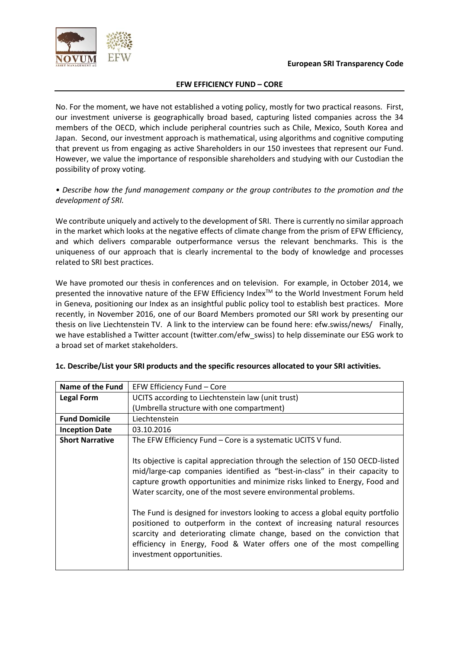

No. For the moment, we have not established a voting policy, mostly for two practical reasons. First, our investment universe is geographically broad based, capturing listed companies across the 34 members of the OECD, which include peripheral countries such as Chile, Mexico, South Korea and Japan. Second, our investment approach is mathematical, using algorithms and cognitive computing that prevent us from engaging as active Shareholders in our 150 investees that represent our Fund. However, we value the importance of responsible shareholders and studying with our Custodian the possibility of proxy voting.

## *• Describe how the fund management company or the group contributes to the promotion and the development of SRI.*

We contribute uniquely and actively to the development of SRI. There is currently no similar approach in the market which looks at the negative effects of climate change from the prism of EFW Efficiency, and which delivers comparable outperformance versus the relevant benchmarks. This is the uniqueness of our approach that is clearly incremental to the body of knowledge and processes related to SRI best practices.

We have promoted our thesis in conferences and on television. For example, in October 2014, we presented the innovative nature of the EFW Efficiency Index™ to the World Investment Forum held in Geneva, positioning our Index as an insightful public policy tool to establish best practices. More recently, in November 2016, one of our Board Members promoted our SRI work by presenting our thesis on live Liechtenstein TV. A link to the interview can be found here: efw.swiss/news/ Finally, we have established a Twitter account (twitter.com/efw\_swiss) to help disseminate our ESG work to a broad set of market stakeholders.

| Name of the Fund       | EFW Efficiency Fund - Core                                                                                                                                                                                                                                                                                                                                                                     |  |  |
|------------------------|------------------------------------------------------------------------------------------------------------------------------------------------------------------------------------------------------------------------------------------------------------------------------------------------------------------------------------------------------------------------------------------------|--|--|
| <b>Legal Form</b>      | UCITS according to Liechtenstein law (unit trust)                                                                                                                                                                                                                                                                                                                                              |  |  |
|                        | (Umbrella structure with one compartment)                                                                                                                                                                                                                                                                                                                                                      |  |  |
| <b>Fund Domicile</b>   | Liechtenstein                                                                                                                                                                                                                                                                                                                                                                                  |  |  |
| <b>Inception Date</b>  | 03.10.2016                                                                                                                                                                                                                                                                                                                                                                                     |  |  |
| <b>Short Narrative</b> | The EFW Efficiency Fund - Core is a systematic UCITS V fund.                                                                                                                                                                                                                                                                                                                                   |  |  |
|                        | Its objective is capital appreciation through the selection of 150 OECD-listed<br>mid/large-cap companies identified as "best-in-class" in their capacity to<br>capture growth opportunities and minimize risks linked to Energy, Food and<br>Water scarcity, one of the most severe environmental problems.<br>The Fund is designed for investors looking to access a global equity portfolio |  |  |
|                        | positioned to outperform in the context of increasing natural resources<br>scarcity and deteriorating climate change, based on the conviction that<br>efficiency in Energy, Food & Water offers one of the most compelling<br>investment opportunities.                                                                                                                                        |  |  |

#### **1c. Describe/List your SRI products and the specific resources allocated to your SRI activities.**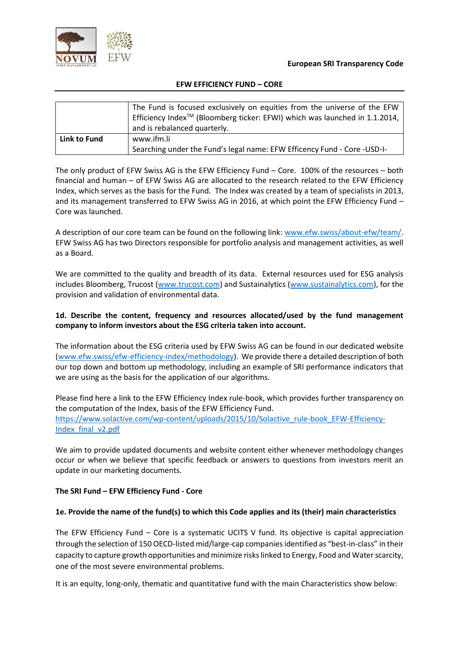



|              | The Fund is focused exclusively on equities from the universe of the EFW<br>Efficiency Index <sup>™</sup> (Bloomberg ticker: EFWI) which was launched in 1.1.2014,<br>and is rebalanced quarterly. |
|--------------|----------------------------------------------------------------------------------------------------------------------------------------------------------------------------------------------------|
| Link to Fund | www.ifm.li<br>Searching under the Fund's legal name: EFW Efficency Fund - Core -USD-I-                                                                                                             |

The only product of EFW Swiss AG is the EFW Efficiency Fund – Core. 100% of the resources – both financial and human – of EFW Swiss AG are allocated to the research related to the EFW Efficiency Index, which serves as the basis for the Fund. The Index was created by a team of specialists in 2013, and its management transferred to EFW Swiss AG in 2016, at which point the EFW Efficiency Fund – Core was launched.

A description of our core team can be found on the following link: www.efw.swiss/about-efw/team/. EFW Swiss AG has two Directors responsible for portfolio analysis and management activities, as well as a Board.

We are committed to the quality and breadth of its data. External resources used for ESG analysis includes Bloomberg, Trucost (www.trucost.com) and Sustainalytics (www.sustainalytics.com), for the provision and validation of environmental data.

## **1d. Describe the content, frequency and resources allocated/used by the fund management company to inform investors about the ESG criteria taken into account.**

The information about the ESG criteria used by EFW Swiss AG can be found in our dedicated website (www.efw.swiss/efw-efficiency-index/methodology). We provide there a detailed description of both our top down and bottom up methodology, including an example of SRI performance indicators that we are using as the basis for the application of our algorithms.

Please find here a link to the EFW Efficiency Index rule-book, which provides further transparency on the computation of the Index, basis of the EFW Efficiency Fund. https://www.solactive.com/wp-content/uploads/2015/10/Solactive\_rule-book\_EFW-Efficiency-Index\_final\_v2.pdf

We aim to provide updated documents and website content either whenever methodology changes occur or when we believe that specific feedback or answers to questions from investors merit an update in our marketing documents.

## **The SRI Fund – EFW Efficiency Fund - Core**

#### **1e. Provide the name of the fund(s) to which this Code applies and its (their) main characteristics**

The EFW Efficiency Fund – Core is a systematic UCITS V fund. Its objective is capital appreciation through the selection of 150 OECD-listed mid/large-cap companies identified as "best-in-class" in their capacity to capture growth opportunities and minimize risks linked to Energy, Food and Water scarcity, one of the most severe environmental problems.

It is an equity, long-only, thematic and quantitative fund with the main Characteristics show below: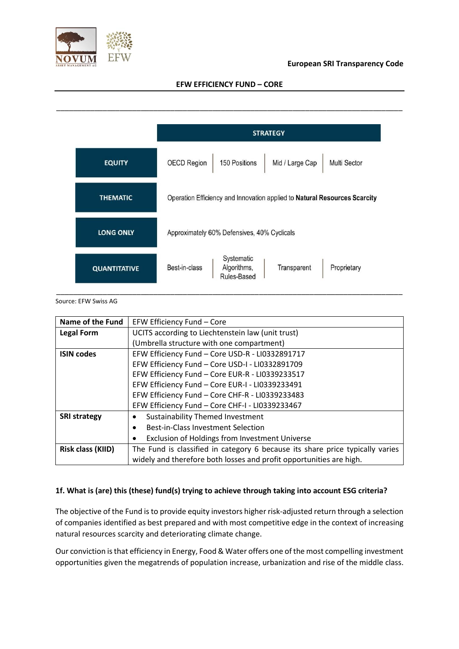

## **European SRI Transparency Code**

#### **EFW EFFICIENCY FUND – CORE**



#### Source: EFW Swiss AG

| <b>Name of the Fund</b>  | EFW Efficiency Fund - Core                                                    |  |  |  |
|--------------------------|-------------------------------------------------------------------------------|--|--|--|
| <b>Legal Form</b>        | UCITS according to Liechtenstein law (unit trust)                             |  |  |  |
|                          | (Umbrella structure with one compartment)                                     |  |  |  |
| <b>ISIN codes</b>        | EFW Efficiency Fund - Core USD-R - LI0332891717                               |  |  |  |
|                          | EFW Efficiency Fund - Core USD-I - LI0332891709                               |  |  |  |
|                          | EFW Efficiency Fund - Core EUR-R - LI0339233517                               |  |  |  |
|                          | EFW Efficiency Fund - Core EUR-I - LI0339233491                               |  |  |  |
|                          | EFW Efficiency Fund - Core CHF-R - LI0339233483                               |  |  |  |
|                          | EFW Efficiency Fund - Core CHF-I - LI0339233467                               |  |  |  |
| <b>SRI strategy</b>      | <b>Sustainability Themed Investment</b>                                       |  |  |  |
|                          | Best-in-Class Investment Selection                                            |  |  |  |
|                          | Exclusion of Holdings from Investment Universe                                |  |  |  |
| <b>Risk class (KIID)</b> | The Fund is classified in category 6 because its share price typically varies |  |  |  |
|                          | widely and therefore both losses and profit opportunities are high.           |  |  |  |

## **1f. What is (are) this (these) fund(s) trying to achieve through taking into account ESG criteria?**

The objective of the Fund isto provide equity investors higher risk-adjusted return through a selection of companies identified as best prepared and with most competitive edge in the context of increasing natural resources scarcity and deteriorating climate change.

Our conviction is that efficiency in Energy, Food & Water offers one of the most compelling investment opportunities given the megatrends of population increase, urbanization and rise of the middle class.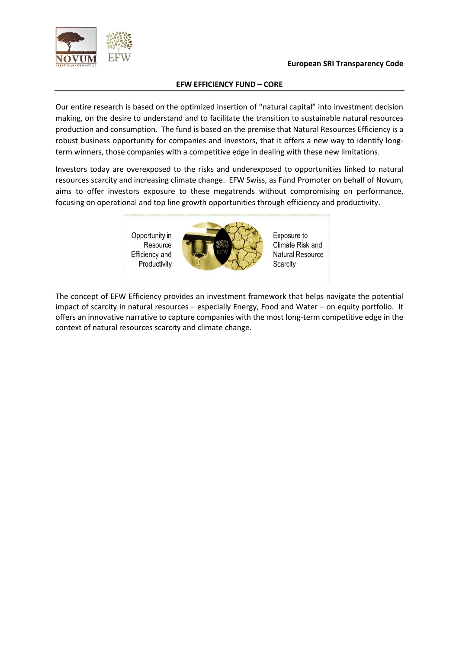



Our entire research is based on the optimized insertion of "natural capital" into investment decision making, on the desire to understand and to facilitate the transition to sustainable natural resources production and consumption. The fund is based on the premise that Natural Resources Efficiency is a robust business opportunity for companies and investors, that it offers a new way to identify longterm winners, those companies with a competitive edge in dealing with these new limitations.

Investors today are overexposed to the risks and underexposed to opportunities linked to natural resources scarcity and increasing climate change. EFW Swiss, as Fund Promoter on behalf of Novum, aims to offer investors exposure to these megatrends without compromising on performance, focusing on operational and top line growth opportunities through efficiency and productivity.



The concept of EFW Efficiency provides an investment framework that helps navigate the potential impact of scarcity in natural resources – especially Energy, Food and Water – on equity portfolio. It offers an innovative narrative to capture companies with the most long-term competitive edge in the context of natural resources scarcity and climate change.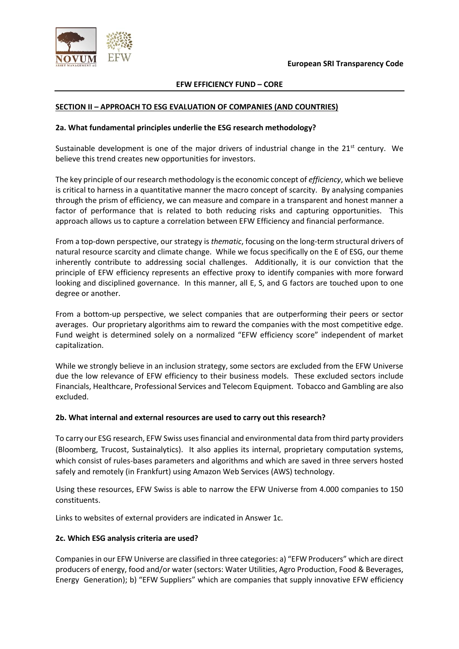

#### **SECTION II – APPROACH TO ESG EVALUATION OF COMPANIES (AND COUNTRIES)**

#### **2a. What fundamental principles underlie the ESG research methodology?**

Sustainable development is one of the major drivers of industrial change in the 21<sup>st</sup> century. We believe this trend creates new opportunities for investors.

The key principle of our research methodology is the economic concept of *efficiency*, which we believe is critical to harness in a quantitative manner the macro concept of scarcity. By analysing companies through the prism of efficiency, we can measure and compare in a transparent and honest manner a factor of performance that is related to both reducing risks and capturing opportunities. This approach allows us to capture a correlation between EFW Efficiency and financial performance.

From a top-down perspective, our strategy is *thematic*, focusing on the long-term structural drivers of natural resource scarcity and climate change. While we focus specifically on the E of ESG, our theme inherently contribute to addressing social challenges. Additionally, it is our conviction that the principle of EFW efficiency represents an effective proxy to identify companies with more forward looking and disciplined governance. In this manner, all E, S, and G factors are touched upon to one degree or another.

From a bottom-up perspective, we select companies that are outperforming their peers or sector averages. Our proprietary algorithms aim to reward the companies with the most competitive edge. Fund weight is determined solely on a normalized "EFW efficiency score" independent of market capitalization.

While we strongly believe in an inclusion strategy, some sectors are excluded from the EFW Universe due the low relevance of EFW efficiency to their business models. These excluded sectors include Financials, Healthcare, Professional Services and Telecom Equipment. Tobacco and Gambling are also excluded.

#### **2b. What internal and external resources are used to carry out this research?**

To carry our ESG research, EFW Swiss uses financial and environmental data from third party providers (Bloomberg, Trucost, Sustainalytics). It also applies its internal, proprietary computation systems, which consist of rules-bases parameters and algorithms and which are saved in three servers hosted safely and remotely (in Frankfurt) using Amazon Web Services (AWS) technology.

Using these resources, EFW Swiss is able to narrow the EFW Universe from 4.000 companies to 150 constituents.

Links to websites of external providers are indicated in Answer 1c.

#### **2c. Which ESG analysis criteria are used?**

Companies in our EFW Universe are classified in three categories: a) "EFW Producers" which are direct producers of energy, food and/or water (sectors: Water Utilities, Agro Production, Food & Beverages, Energy Generation); b) "EFW Suppliers" which are companies that supply innovative EFW efficiency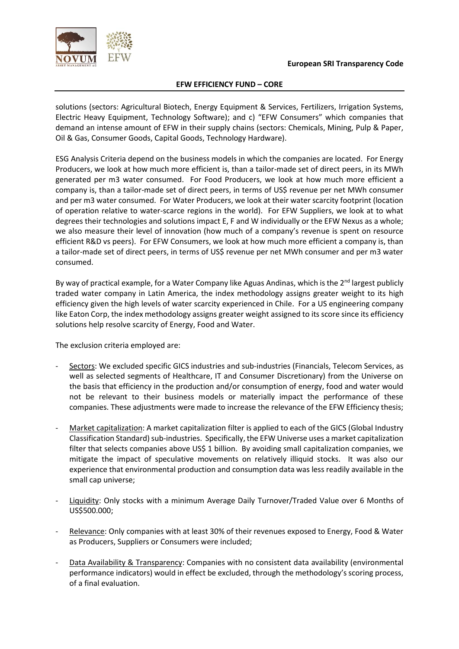

solutions (sectors: Agricultural Biotech, Energy Equipment & Services, Fertilizers, Irrigation Systems, Electric Heavy Equipment, Technology Software); and c) "EFW Consumers" which companies that demand an intense amount of EFW in their supply chains (sectors: Chemicals, Mining, Pulp & Paper, Oil & Gas, Consumer Goods, Capital Goods, Technology Hardware).

ESG Analysis Criteria depend on the business models in which the companies are located. For Energy Producers, we look at how much more efficient is, than a tailor-made set of direct peers, in its MWh generated per m3 water consumed. For Food Producers, we look at how much more efficient a company is, than a tailor-made set of direct peers, in terms of US\$ revenue per net MWh consumer and per m3 water consumed. For Water Producers, we look at their water scarcity footprint (location of operation relative to water-scarce regions in the world). For EFW Suppliers, we look at to what degrees their technologies and solutions impact E, F and W individually or the EFW Nexus as a whole; we also measure their level of innovation (how much of a company's revenue is spent on resource efficient R&D vs peers). For EFW Consumers, we look at how much more efficient a company is, than a tailor-made set of direct peers, in terms of US\$ revenue per net MWh consumer and per m3 water consumed.

By way of practical example, for a Water Company like Aguas Andinas, which is the  $2^{nd}$  largest publicly traded water company in Latin America, the index methodology assigns greater weight to its high efficiency given the high levels of water scarcity experienced in Chile. For a US engineering company like Eaton Corp, the index methodology assigns greater weight assigned to its score since its efficiency solutions help resolve scarcity of Energy, Food and Water.

The exclusion criteria employed are:

- Sectors: We excluded specific GICS industries and sub-industries (Financials, Telecom Services, as well as selected segments of Healthcare, IT and Consumer Discretionary) from the Universe on the basis that efficiency in the production and/or consumption of energy, food and water would not be relevant to their business models or materially impact the performance of these companies. These adjustments were made to increase the relevance of the EFW Efficiency thesis;
- Market capitalization: A market capitalization filter is applied to each of the GICS (Global Industry Classification Standard) sub-industries. Specifically, the EFW Universe uses a market capitalization filter that selects companies above US\$ 1 billion. By avoiding small capitalization companies, we mitigate the impact of speculative movements on relatively illiquid stocks. It was also our experience that environmental production and consumption data was less readily available in the small cap universe;
- Liquidity: Only stocks with a minimum Average Daily Turnover/Traded Value over 6 Months of US\$500.000;
- Relevance: Only companies with at least 30% of their revenues exposed to Energy, Food & Water as Producers, Suppliers or Consumers were included;
- Data Availability & Transparency: Companies with no consistent data availability (environmental performance indicators) would in effect be excluded, through the methodology's scoring process, of a final evaluation.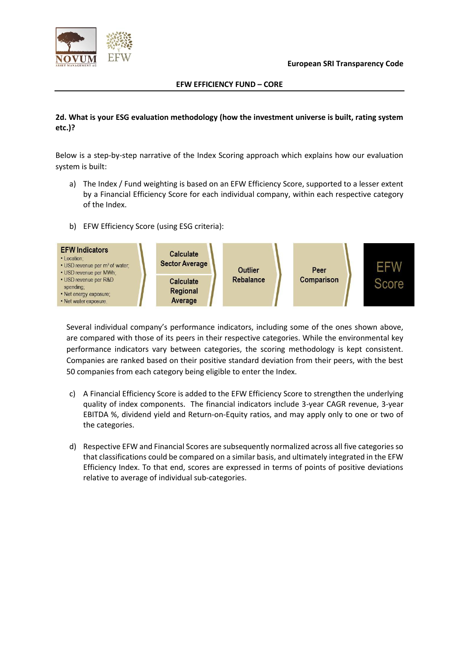



## **2d. What is your ESG evaluation methodology (how the investment universe is built, rating system etc.)?**

Below is a step-by-step narrative of the Index Scoring approach which explains how our evaluation system is built:

a) The Index / Fund weighting is based on an EFW Efficiency Score, supported to a lesser extent by a Financial Efficiency Score for each individual company, within each respective category of the Index.

## b) EFW Efficiency Score (using ESG criteria):



Several individual company's performance indicators, including some of the ones shown above, are compared with those of its peers in their respective categories. While the environmental key performance indicators vary between categories, the scoring methodology is kept consistent. Companies are ranked based on their positive standard deviation from their peers, with the best 50 companies from each category being eligible to enter the Index.

- c) A Financial Efficiency Score is added to the EFW Efficiency Score to strengthen the underlying quality of index components. The financial indicators include 3-year CAGR revenue, 3-year EBITDA %, dividend yield and Return-on-Equity ratios, and may apply only to one or two of the categories.
- d) Respective EFW and Financial Scores are subsequently normalized across all five categories so that classifications could be compared on a similar basis, and ultimately integrated in the EFW Efficiency Index. To that end, scores are expressed in terms of points of positive deviations relative to average of individual sub-categories.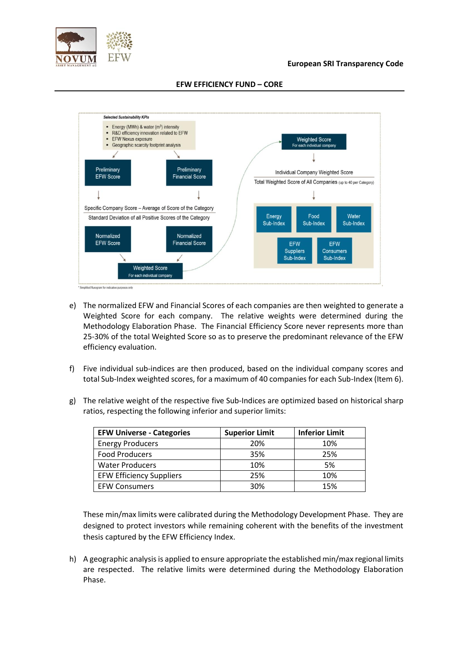

#### **European SRI Transparency Code**



#### **EFW EFFICIENCY FUND – CORE**

- e) The normalized EFW and Financial Scores of each companies are then weighted to generate a Weighted Score for each company. The relative weights were determined during the Methodology Elaboration Phase. The Financial Efficiency Score never represents more than 25-30% of the total Weighted Score so as to preserve the predominant relevance of the EFW efficiency evaluation.
- f) Five individual sub-indices are then produced, based on the individual company scores and total Sub-Index weighted scores, for a maximum of 40 companies for each Sub-Index (Item 6).
- g) The relative weight of the respective five Sub-Indices are optimized based on historical sharp ratios, respecting the following inferior and superior limits:

| <b>EFW Universe - Categories</b> | <b>Superior Limit</b> | <b>Inferior Limit</b> |
|----------------------------------|-----------------------|-----------------------|
| <b>Energy Producers</b>          | 20%                   | 10%                   |
| <b>Food Producers</b>            | 35%                   | 25%                   |
| <b>Water Producers</b>           | 10%                   | 5%                    |
| <b>EFW Efficiency Suppliers</b>  | 25%                   | 10%                   |
| <b>EFW Consumers</b>             | 30%                   | 15%                   |

These min/max limits were calibrated during the Methodology Development Phase. They are designed to protect investors while remaining coherent with the benefits of the investment thesis captured by the EFW Efficiency Index.

h) A geographic analysis is applied to ensure appropriate the established min/max regional limits are respected. The relative limits were determined during the Methodology Elaboration Phase.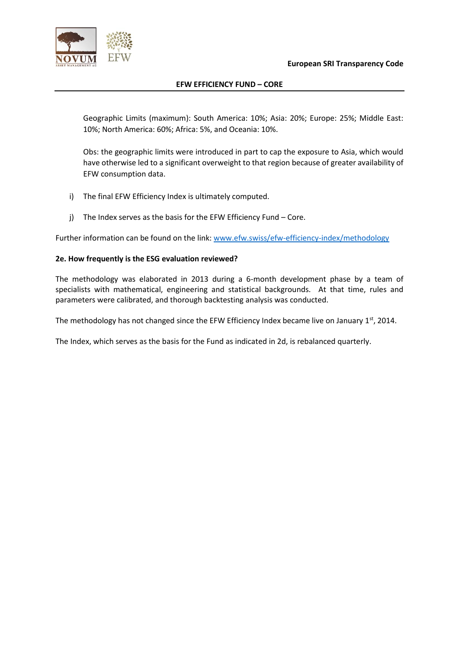

Geographic Limits (maximum): South America: 10%; Asia: 20%; Europe: 25%; Middle East: 10%; North America: 60%; Africa: 5%, and Oceania: 10%.

Obs: the geographic limits were introduced in part to cap the exposure to Asia, which would have otherwise led to a significant overweight to that region because of greater availability of EFW consumption data.

- i) The final EFW Efficiency Index is ultimately computed.
- j) The Index serves as the basis for the EFW Efficiency Fund Core.

Further information can be found on the link: www.efw.swiss/efw-efficiency-index/methodology

## **2e. How frequently is the ESG evaluation reviewed?**

The methodology was elaborated in 2013 during a 6-month development phase by a team of specialists with mathematical, engineering and statistical backgrounds. At that time, rules and parameters were calibrated, and thorough backtesting analysis was conducted.

The methodology has not changed since the EFW Efficiency Index became live on January 1st, 2014.

The Index, which serves as the basis for the Fund as indicated in 2d, is rebalanced quarterly.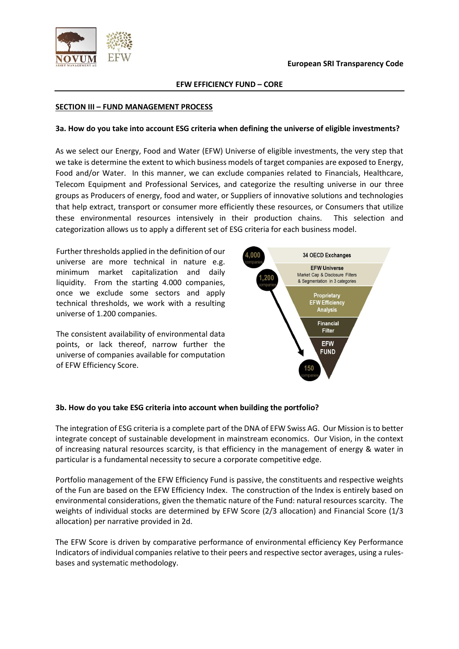



#### **SECTION III – FUND MANAGEMENT PROCESS**

#### **3a. How do you take into account ESG criteria when defining the universe of eligible investments?**

As we select our Energy, Food and Water (EFW) Universe of eligible investments, the very step that we take is determine the extent to which business models of target companies are exposed to Energy, Food and/or Water. In this manner, we can exclude companies related to Financials, Healthcare, Telecom Equipment and Professional Services, and categorize the resulting universe in our three groups as Producers of energy, food and water, or Suppliers of innovative solutions and technologies that help extract, transport or consumer more efficiently these resources, or Consumers that utilize these environmental resources intensively in their production chains. This selection and categorization allows us to apply a different set of ESG criteria for each business model.

Further thresholds applied in the definition of our universe are more technical in nature e.g. minimum market capitalization and daily liquidity. From the starting 4.000 companies, once we exclude some sectors and apply technical thresholds, we work with a resulting universe of 1.200 companies.

The consistent availability of environmental data points, or lack thereof, narrow further the universe of companies available for computation of EFW Efficiency Score.



#### **3b. How do you take ESG criteria into account when building the portfolio?**

The integration of ESG criteria is a complete part of the DNA of EFW Swiss AG. Our Mission is to better integrate concept of sustainable development in mainstream economics. Our Vision, in the context of increasing natural resources scarcity, is that efficiency in the management of energy & water in particular is a fundamental necessity to secure a corporate competitive edge.

Portfolio management of the EFW Efficiency Fund is passive, the constituents and respective weights of the Fun are based on the EFW Efficiency Index. The construction of the Index is entirely based on environmental considerations, given the thematic nature of the Fund: natural resources scarcity. The weights of individual stocks are determined by EFW Score (2/3 allocation) and Financial Score (1/3 allocation) per narrative provided in 2d.

The EFW Score is driven by comparative performance of environmental efficiency Key Performance Indicators of individual companies relative to their peers and respective sector averages, using a rulesbases and systematic methodology.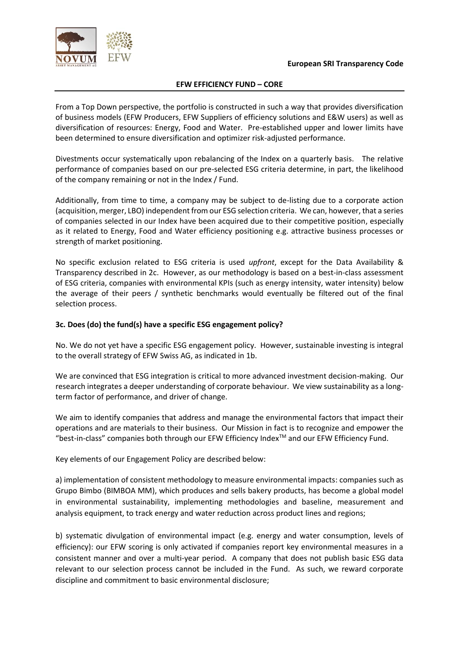



From a Top Down perspective, the portfolio is constructed in such a way that provides diversification of business models (EFW Producers, EFW Suppliers of efficiency solutions and E&W users) as well as diversification of resources: Energy, Food and Water. Pre-established upper and lower limits have been determined to ensure diversification and optimizer risk-adjusted performance.

Divestments occur systematically upon rebalancing of the Index on a quarterly basis. The relative performance of companies based on our pre-selected ESG criteria determine, in part, the likelihood of the company remaining or not in the Index / Fund.

Additionally, from time to time, a company may be subject to de-listing due to a corporate action (acquisition, merger, LBO) independent from our ESG selection criteria. We can, however, that a series of companies selected in our Index have been acquired due to their competitive position, especially as it related to Energy, Food and Water efficiency positioning e.g. attractive business processes or strength of market positioning.

No specific exclusion related to ESG criteria is used *upfront*, except for the Data Availability & Transparency described in 2c. However, as our methodology is based on a best-in-class assessment of ESG criteria, companies with environmental KPIs (such as energy intensity, water intensity) below the average of their peers / synthetic benchmarks would eventually be filtered out of the final selection process.

## **3c. Does (do) the fund(s) have a specific ESG engagement policy?**

No. We do not yet have a specific ESG engagement policy. However, sustainable investing is integral to the overall strategy of EFW Swiss AG, as indicated in 1b.

We are convinced that ESG integration is critical to more advanced investment decision-making. Our research integrates a deeper understanding of corporate behaviour. We view sustainability as a longterm factor of performance, and driver of change.

We aim to identify companies that address and manage the environmental factors that impact their operations and are materials to their business. Our Mission in fact is to recognize and empower the "best-in-class" companies both through our EFW Efficiency Index<sup>TM</sup> and our EFW Efficiency Fund.

Key elements of our Engagement Policy are described below:

a) implementation of consistent methodology to measure environmental impacts: companies such as Grupo Bimbo (BIMBOA MM), which produces and sells bakery products, has become a global model in environmental sustainability, implementing methodologies and baseline, measurement and analysis equipment, to track energy and water reduction across product lines and regions;

b) systematic divulgation of environmental impact (e.g. energy and water consumption, levels of efficiency): our EFW scoring is only activated if companies report key environmental measures in a consistent manner and over a multi-year period. A company that does not publish basic ESG data relevant to our selection process cannot be included in the Fund. As such, we reward corporate discipline and commitment to basic environmental disclosure;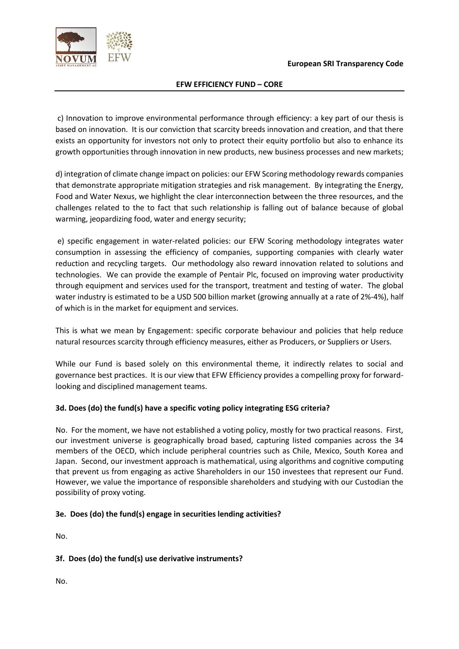

c) Innovation to improve environmental performance through efficiency: a key part of our thesis is based on innovation. It is our conviction that scarcity breeds innovation and creation, and that there exists an opportunity for investors not only to protect their equity portfolio but also to enhance its growth opportunities through innovation in new products, new business processes and new markets;

d) integration of climate change impact on policies: our EFW Scoring methodology rewards companies that demonstrate appropriate mitigation strategies and risk management. By integrating the Energy, Food and Water Nexus, we highlight the clear interconnection between the three resources, and the challenges related to the to fact that such relationship is falling out of balance because of global warming, jeopardizing food, water and energy security;

e) specific engagement in water-related policies: our EFW Scoring methodology integrates water consumption in assessing the efficiency of companies, supporting companies with clearly water reduction and recycling targets. Our methodology also reward innovation related to solutions and technologies. We can provide the example of Pentair Plc, focused on improving water productivity through equipment and services used for the transport, treatment and testing of water. The global water industry is estimated to be a USD 500 billion market (growing annually at a rate of 2%-4%), half of which is in the market for equipment and services.

This is what we mean by Engagement: specific corporate behaviour and policies that help reduce natural resources scarcity through efficiency measures, either as Producers, or Suppliers or Users.

While our Fund is based solely on this environmental theme, it indirectly relates to social and governance best practices. It is our view that EFW Efficiency provides a compelling proxy for forwardlooking and disciplined management teams.

## **3d. Does (do) the fund(s) have a specific voting policy integrating ESG criteria?**

No. For the moment, we have not established a voting policy, mostly for two practical reasons. First, our investment universe is geographically broad based, capturing listed companies across the 34 members of the OECD, which include peripheral countries such as Chile, Mexico, South Korea and Japan. Second, our investment approach is mathematical, using algorithms and cognitive computing that prevent us from engaging as active Shareholders in our 150 investees that represent our Fund. However, we value the importance of responsible shareholders and studying with our Custodian the possibility of proxy voting.

## **3e. Does (do) the fund(s) engage in securities lending activities?**

No.

# **3f. Does (do) the fund(s) use derivative instruments?**

No.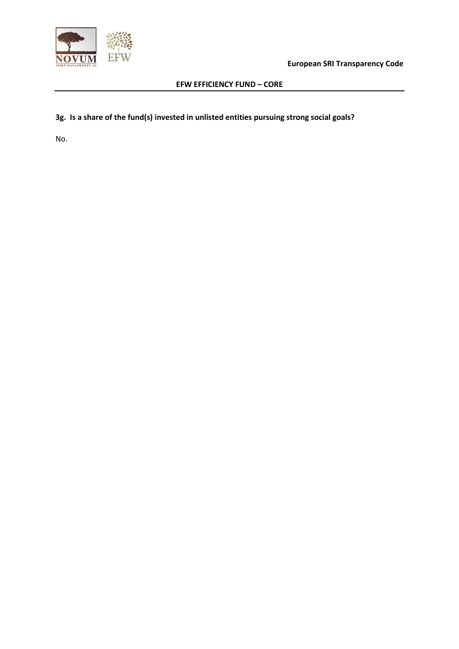

**European SRI Transparency Code**

## **EFW EFFICIENCY FUND – CORE**

# **3g. Is a share of the fund(s) invested in unlisted entities pursuing strong social goals?**

No.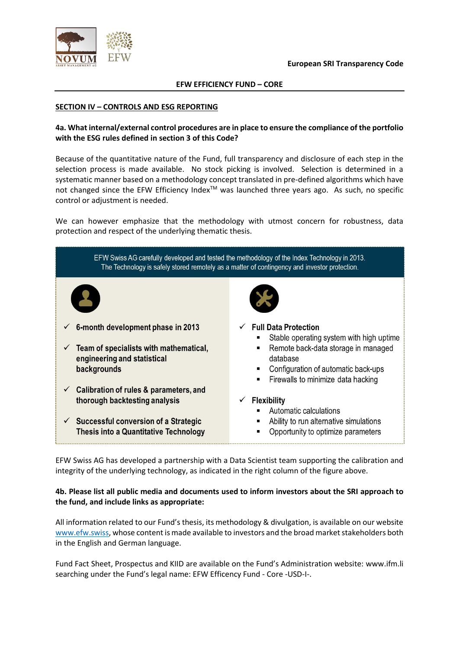



#### **SECTION IV – CONTROLS AND ESG REPORTING**

## **4a. What internal/external control procedures are in place to ensure the compliance of the portfolio with the ESG rules defined in section 3 of this Code?**

Because of the quantitative nature of the Fund, full transparency and disclosure of each step in the selection process is made available. No stock picking is involved. Selection is determined in a systematic manner based on a methodology concept translated in pre-defined algorithms which have not changed since the EFW Efficiency Index<sup>™</sup> was launched three years ago. As such, no specific control or adjustment is needed.

We can however emphasize that the methodology with utmost concern for robustness, data protection and respect of the underlying thematic thesis.



EFW Swiss AG has developed a partnership with a Data Scientist team supporting the calibration and integrity of the underlying technology, as indicated in the right column of the figure above.

## **4b. Please list all public media and documents used to inform investors about the SRI approach to the fund, and include links as appropriate:**

All information related to our Fund's thesis, its methodology & divulgation, is available on our website www.efw.swiss, whose content is made available to investors and the broad market stakeholders both in the English and German language.

Fund Fact Sheet, Prospectus and KIID are available on the Fund's Administration website: www.ifm.li searching under the Fund's legal name: EFW Efficency Fund - Core -USD-I-.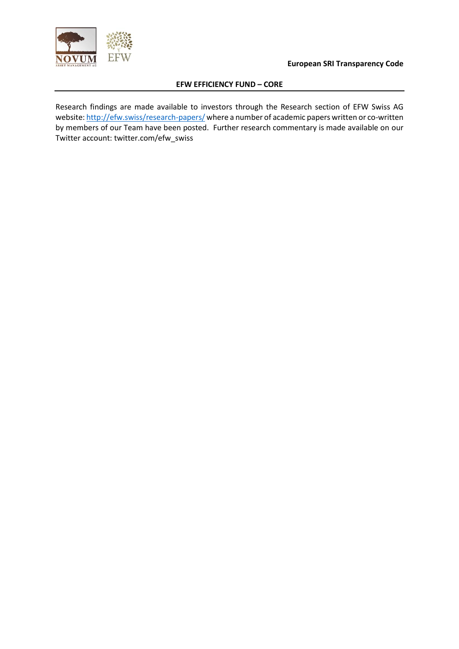

Research findings are made available to investors through the Research section of EFW Swiss AG website: http://efw.swiss/research-papers/ where a number of academic papers written or co-written by members of our Team have been posted. Further research commentary is made available on our Twitter account: twitter.com/efw\_swiss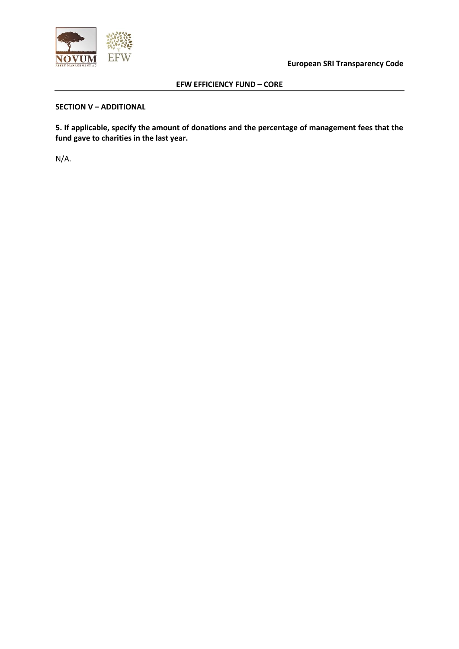

**European SRI Transparency Code**

## **EFW EFFICIENCY FUND – CORE**

# **SECTION V – ADDITIONAL**

**5. If applicable, specify the amount of donations and the percentage of management fees that the fund gave to charities in the last year.**

N/A.